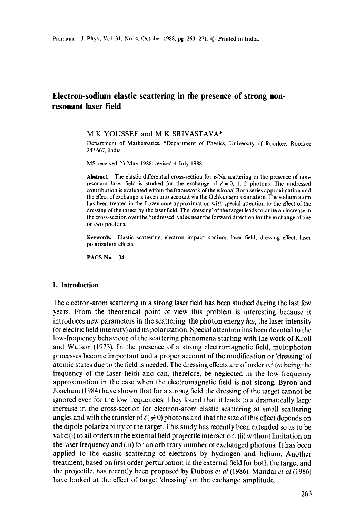# **Electron-sodium elastic scattering in the presence of strong nonresonant laser field**

#### **M K** YOUSSEF and **M K** SRIVASTAVA\*

Department of Mathematics, \*Department of Physics, University of Roorkee, Roorkee 247 667, India

MS received 23 May 1988; revised 4 July 1988

**Abstract.** The elastic differential cross-section for  $\bar{e}$ -Na scattering in the presence of nonresonant laser field is studied for the exchange of  $\ell = 0, 1, 2$  photons. The undressed contribution is evaluated within the framework of the eikonal Born series approximation **and**  the effect of exchange is taken into account via the Ochkur approximation. The sodium atom has been treated in the frozen core approximation with special attention to the effect of the dressing of the target by the laser field. The 'dressing' of the target leads to quite an increase in the cross-section over the "undressed' value near the forward direction for the exchange of one or two photons.

**Keywords.** Elastic scattering; electron impact; sodium; laser field: dressing effect; laser polarization effects.

PACS No. 34

#### **1. Introduction**

The electron-atom scattering in a strong laser field has been studied during the last few years. From the theoretical point of view this problem is interesting because it introduces new parameters in the scattering: the photon energy  $\hbar\omega$ , the laser intensity (or electric field intensity) and its polarization. Special attention has been devoted to the low-frequency behaviour of the scattering phenomena starting with the work of Kroll and Watson (1973). In the presence of a strong electromagnetic field, multiphoton processes become important and a proper account of the modification or 'dressing' of atomic states due to the field is needed. The dressing effects are of order  $\omega^2$  ( $\omega$  being the frequency of the laser field) and can, therefore, be neglected in the low frequency approximation in the case when the electromagnetic field is not strong. Byron and Joachain (1984) have shown that for a strong field the dressing of the target cannot be ignored even for the low frequencies. They found that it leads to a dramatically large increase in the cross-section for electron-atom elastic scattering at small scattering angles and with the transfer of  $\ell \neq 0$ ) photons and that the size of this effect depends on the dipole polarizability of the target. This study has recently been extended so as to be valid (i) to all orders in the external field projectile interaction, (ii) without limitation on the laser frequency and (iii) for an arbitrary number of exchanged photons. It has been applied to the elastic scattering of electrons by hydrogen and helium. Another treatment, based on first order perturbation in the external field for both the target and the projectile, has recently been proposed by Dubois *et al* (1986). Mandal *et al* (1986) have looked at the effect of target 'dressing' on the exchange amplitude.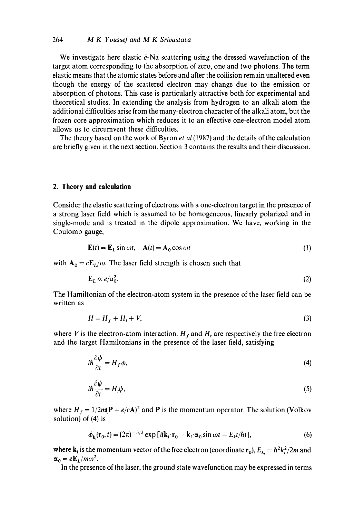We investigate here elastic  $\bar{e}$ -Na scattering using the dressed wavefunction of the target atom corresponding to the absorption of zero, one and two photons. The term elastic means that the atomic states before and after the collision remain unaltered even though the energy of the scattered electron may change due to the emission or absorption of photons. This case is particularly attractive both for experimental and theoretical studies. In extending the analysis from hydrogen to an alkali atom the additional difficulties arise from the many-electron character of the alkali atom, but the frozen core approximation which reduces it to an effective one-electron model atom allows us to circumvent these difficulties.

The theory based on the work of Byron *et al* (1987) and the details of the calculation are briefly given in the next section. Section 3 contains the results and their discussion.

#### **2. Theory and calculation**

Consider the elastic scattering of electrons with a one-electron target in the presence of a strong laser field which is assumed to be homogeneous, linearly polarized and in single-mode and is treated in the dipole approximation. We have, working in the Coulomb gauge,

$$
\mathbf{E}(t) = \mathbf{E}_L \sin \omega t, \quad \mathbf{A}(t) = \mathbf{A}_0 \cos \omega t \tag{1}
$$

with  $A_0 = cE_L/\omega$ . The laser field strength is chosen such that

$$
\mathbf{E}_L \ll e/a_0^2. \tag{2}
$$

The Hamiltonian of the electron-atom system in the presence of the laser field can be written as

$$
H = H_f + H_t + V,\tag{3}
$$

where V is the electron-atom interaction.  $H_f$  and  $H_t$  are respectively the free electron and the target Hamiltonians in the presence of the laser field, satisfying

$$
i\hbar \frac{\partial \phi}{\partial t} = H_f \phi, \tag{4}
$$

$$
i\hbar \frac{\partial \psi}{\partial t} = H_t \psi, \tag{5}
$$

where  $H_f = 1/2m(P + e/cA)^2$  and P is the momentum operator. The solution (Volkov solution) of (4) is

$$
\phi_{\mathbf{k}_i}(\mathbf{r}_0, t) = (2\pi)^{-3/2} \exp\left[i(\mathbf{k}_i \cdot \mathbf{r}_0 - \mathbf{k}_i \cdot \alpha_0 \sin \omega t - E_k t/\hbar)\right],\tag{6}
$$

where  $\mathbf{k}_i$  is the momentum vector of the free electron (coordinate  $\mathbf{r}_0$ ),  $E_{\mathbf{k}_i} = \hbar^2 k_i^2 / 2m$  and  $\alpha_0 = eE_L/m\omega^2$ .

In the presence of the laser, the ground state wavefunction may be expressed in terms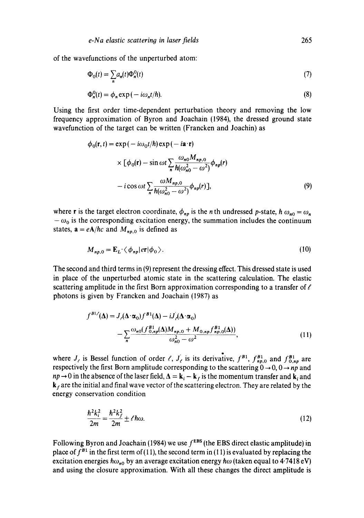of the wavefunctions of the unperturbed atom:

$$
\Phi_0(t) = \sum_n a_n(t) \Phi_n^0(t) \tag{7}
$$

$$
\Phi_n^0(t) = \phi_n \exp(-i\omega_n t/\hbar). \tag{8}
$$

Using the first order time-dependent perturbation theory and removing the low frequency approximation of Byron and Joachain (1984), the dressed ground state wavefunction of the target can be written (Francken and Joachin) as

$$
\phi_0(\mathbf{r}, t) = \exp(-i\omega_0 t/\hbar) \exp(-i\mathbf{a} \cdot \mathbf{r})
$$
  
 
$$
\times [\phi_0(\mathbf{r}) - \sin \omega t \sum_n \frac{\omega_{n0} M_{np,0}}{\hbar(\omega_{n0}^2 - \omega^2)} \phi_{np}(r)
$$
  
-  $i \cos \omega t \sum_n \frac{\omega M_{np,0}}{\hbar(\omega_{n0}^2 - \omega^2)} \phi_{np}(r) ],$  (9)

where **r** is the target electron coordinate,  $\phi_{np}$  is the *n* th undressed *p*-state,  $h \omega_{n0} = \omega_n$ .  $-\omega_0$  is the corresponding excitation energy, the summation includes the continuum states,  $\mathbf{a} = e\mathbf{A}/\hbar c$  and  $M_{np,0}$  is defined as

$$
M_{np,0} = \mathbf{E}_L \cdot \langle \phi_{np} | er | \phi_0 \rangle. \tag{10}
$$

The second and third terms in (9) represent the dressing effect. This dressed state is used in place of the unperturbed atomic state in the scattering calculation. The elastic scattering amplitude in the first Born approximation corresponding to a transfer of  $\ell$ photons is given by Francken and Joachain (1987) as

$$
f^{BL}(\Delta) = J_{\ell}(\Delta \cdot \alpha_0) f^{BL}(\Delta) - i J_{\ell}(\Delta \cdot \alpha_0)
$$
  
- 
$$
\sum_{n} \frac{\omega_{n0} (f_{0,np}^{BL}(\Delta) M_{np,0} + M_{0,np} f_{np,0}^{BL}(\Delta))}{\omega_{n0}^2 - \omega^2},
$$
 (11)

where  $J_{\ell}$  is Bessel function of order  $\ell$ ,  $J_{\ell}$  is its derivative,  $f^{B1}$ ,  $f^{B1}_{np,0}$  and  $f^{B1}_{0,np}$  are respectively the first Born amplitude corresponding to the scattering  $0 \rightarrow 0, 0 \rightarrow np$  and  $np \rightarrow 0$  in the absence of the laser field,  $\Delta = k_i - k_f$  is the momentum transfer and  $k_i$  and  $\mathbf{k}_f$  are the initial and final wave vector of the scattering electron. They are related by the energy conservation condition

$$
\frac{\hbar^2 k_i^2}{2m} = \frac{\hbar^2 k_f^2}{2m} \pm \ell \hbar \omega.
$$
 (12)

Following Byron and Joachain (1984) we use  $f<sup>EBS</sup>$  (the EBS direct elastic amplitude) in place of  $f^{B1}$  in the first term of (11), the second term in (11) is evaluated by replacing the excitation energies  $\hbar \omega_{n0}$  by an average excitation energy  $\hbar \omega$  (taken equal to 4.7418 eV) and using the closure approximation. With all these changes the direct amplitude is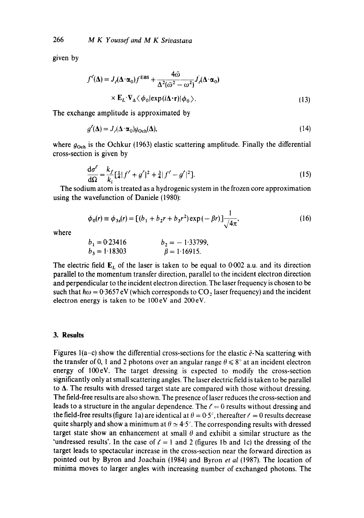266 *M K Youssef and M K Srivastava* 

given by

$$
f'(\Delta) = J_{\ell}(\Delta \cdot \alpha_0) f^{EBS} + \frac{4\bar{\omega}}{\Delta^2(\bar{\omega}^2 - \omega^2)} J_{\ell}(\Delta \cdot \alpha_0)
$$
  
×  $\mathbf{E}_L \cdot \nabla_{\Delta} \langle \phi_0 | \exp(i\Delta \cdot \mathbf{r}) | \phi_0 \rangle$ . (13)

The exchange amplitude is approximated by

$$
g'(\Delta) = J_{\ell}(\Delta \cdot \alpha_0) g_{\text{Och}}(\Delta), \tag{14}
$$

where  $g_{\text{Och}}$  is the Ochkur (1963) elastic scattering amplitude. Finally the differential cross-section is given by

$$
\frac{d\sigma'}{d\Omega} = \frac{k_f}{k_i} \left[\frac{1}{4}\right] f' + g'\left|^2 + \frac{3}{4}\right] f' - g'\left|^2 \right].
$$
\n(15)

The sodium atom is treated as a hydrogenic system in the frozen core approximation using the wavefunction of Daniele (1980):

$$
\phi_0(r) \equiv \phi_{3s}(r) = \left[ (b_1 + b_2r + b_3r^2) \exp(-\beta r) \right] \frac{1}{\sqrt{4\pi}},
$$
\n(16)

where

$$
b_1 = 0.23416
$$
  $b_2 = -1.33799,$   
\n $b_3 = 1.18303$   $\beta = 1.16915.$ 

The electric field  $E<sub>L</sub>$  of the laser is taken to be equal to 0.002 a.u. and its direction parallel to the momentum transfer direction, parallel to the incident electron direction and perpendicular to the incident electron direction. The laser frequency is chosen to be such that  $\hbar\omega = 0.3657 \text{ eV}$  (which corresponds to CO<sub>2</sub> laser frequency) and the incident electron energy is taken to be 100eV and 200eV.

#### **3. Results**

Figures 1(a-c) show the differential cross-sections for the elastic  $\tilde{e}$ -Na scattering with the transfer of 0, 1 and 2 photons over an angular range  $\theta \leq 8^\circ$  at an incident electron energy of 100eV. The target dressing is expected to modify the cross-section significantly only at small scattering angles. The laser electric field is taken to be parallel to  $\Delta$ . The results with dressed target state are compared with those without dressing. The field-free results are also shown. The presence of laser reduces the cross-section and leads to a structure in the angular dependence. The  $\ell = 0$  results without dressing and the field-free results (figure 1a) are identical at  $\theta = 0.5^{\circ}$ , thereafter  $\ell = 0$  results decrease quite sharply and show a minimum at  $\theta \approx 4.5^{\circ}$ . The corresponding results with dressed target state show an enhancement at small  $\theta$  and exhibit a similar structure as the 'undressed results'. In the case of  $\ell = 1$  and 2 (figures 1b and 1c) the dressing of the target leads to spectacular increase in the cross-section near the forward direction as pointed out by Byron and Joachain (1984) and Byron *et al* (1987). The location of minima moves to larger angles with increasing number of exchanged photons. The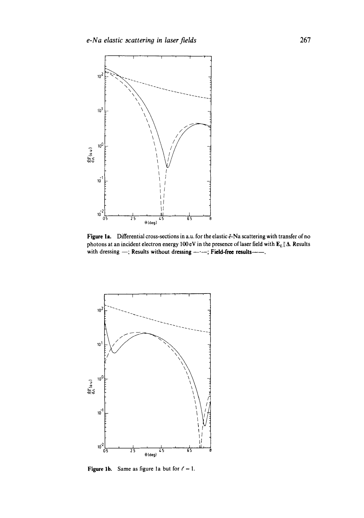

Figure 1a. Differential cross-sections in a.u. for the elastic  $\bar{e}$ -Na scattering with transfer of no photons at an incident electron energy 100 eV in the presence of laser field with  $\mathbf{E}_{L}$  ||  $\Delta$ . Results with dressing -; Results without dressing ----; Field-free results---



**Figure 1b.** Same as figure 1a but for  $\ell = 1$ .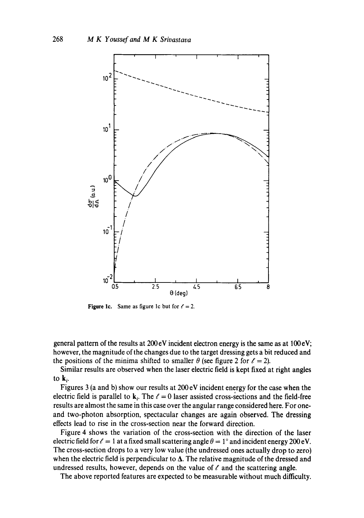

**Figure 1c.** Same as figure 1c but for  $\ell = 2$ .

general pattern of the results at 200 eV incident electron energy is the same as at 100 eV; however, the magnitude of the changes due to the target dressing gets a bit reduced and the positions of the minima shifted to smaller  $\theta$  (see figure 2 for  $\ell = 2$ ).

Similar results are observed when the laser electric field is kept fixed at right angles to  $\mathbf{k}_{i}$ .

Figures 3 (a and b) show our results at 200 eV incident energy for the case when the electric field is parallel to  $k_i$ . The  $\ell = 0$  laser assisted cross-sections and the field-free results are almost the same in this case over the angular range considered here. For oneand two-photon absorption, spectacular changes are again observed. The dressing effects lead to rise in the cross-section near the forward direction.

Figure 4 shows the variation of the cross-section with the direction of the laser electric field for  $\ell = 1$  at a fixed small scattering angle  $\theta = 1^\circ$  and incident energy 200 eV. The cross-section drops to a very low value (the undressed ones actually drop to zero) when the electric field is perpendicular to  $\Delta$ . The relative magnitude of the dressed and undressed results, however, depends on the value of  $\ell$  and the scattering angle.

The above reported features are expected to be measurable without much difficulty.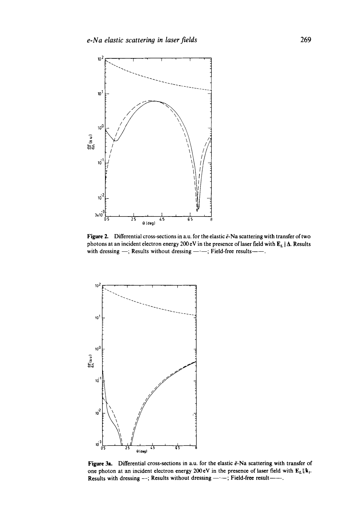

Figure 2. Differential cross-sections in a.u. for the elastic  $\tilde{e}$ -Na scattering with transfer of two photons at an incident electron energy 200 eV in the presence of laser field with  $\mathbf{E}_L \|\mathbf{\Delta}$ . Results with dressing -; Results without dressing --; Field-free results---



Figure 3a. Differential cross-sections in a.u. for the elastic  $\bar{e}$ -Na scattering with transfer of one photon at an incident electron energy  $200 \text{ eV}$  in the presence of laser field with  $\mathbf{E}_L \| \mathbf{k}_i$ . Results with dressing --; Results without dressing ---; Field-free result----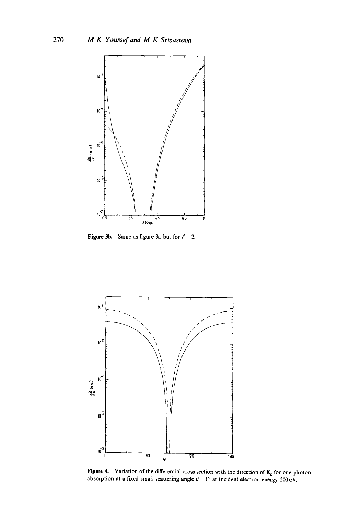

**Figure 3b.** Same as figure 3a but for  $l' = 2$ .



**Figure 4.** Variation of the differential cross section with the direction of E<sub>L</sub> for one photon absorption at a fixed small scattering angle  $\theta = 1^{\circ}$  at incident electron energy 200 eV.